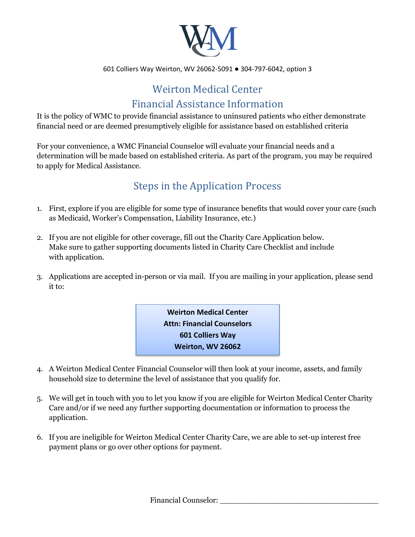

### 601 Colliers Way Weirton, WV 26062-5091 ● 304-797-6042, option 3

# Weirton Medical Center

### Financial Assistance Information

It is the policy of WMC to provide financial assistance to uninsured patients who either demonstrate financial need or are deemed presumptively eligible for assistance based on established criteria

For your convenience, a WMC Financial Counselor will evaluate your financial needs and a determination will be made based on established criteria. As part of the program, you may be required to apply for Medical Assistance.

## Steps in the Application Process

- 1. First, explore if you are eligible for some type of insurance benefits that would cover your care (such as Medicaid, Worker's Compensation, Liability Insurance, etc.)
- 2. If you are not eligible for other coverage, fill out the Charity Care Application below. Make sure to gather supporting documents listed in Charity Care Checklist and include with application.
- 3. Applications are accepted in-person or via mail. If you are mailing in your application, please send it to:

**Weirton Medical Center Attn: Financial Counselors 601 Colliers Way Weirton, WV 26062**

- 4. A Weirton Medical Center Financial Counselor will then look at your income, assets, and family household size to determine the level of assistance that you qualify for.
- 5. We will get in touch with you to let you know if you are eligible for Weirton Medical Center Charity Care and/or if we need any further supporting documentation or information to process the application.
- 6. If you are ineligible for Weirton Medical Center Charity Care, we are able to set-up interest free payment plans or go over other options for payment.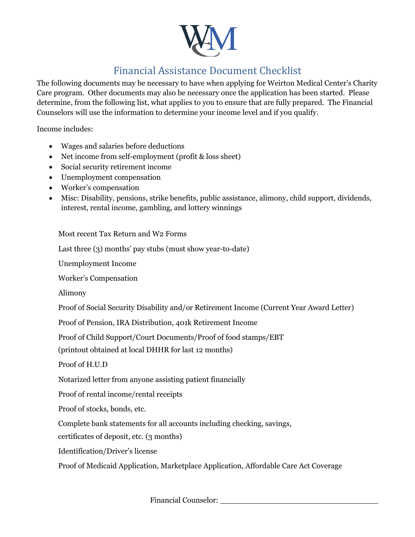

### Financial Assistance Document Checklist

The following documents may be necessary to have when applying for Weirton Medical Center's Charity Care program. Other documents may also be necessary once the application has been started. Please determine, from the following list, what applies to you to ensure that are fully prepared. The Financial Counselors will use the information to determine your income level and if you qualify.

Income includes:

- Wages and salaries before deductions
- Net income from self-employment (profit & loss sheet)
- Social security retirement income
- Unemployment compensation
- Worker's compensation
- Misc: Disability, pensions, strike benefits, public assistance, alimony, child support, dividends, interest, rental income, gambling, and lottery winnings

Most recent Tax Return and W2 Forms

Last three (3) months' pay stubs (must show year-to-date)

Unemployment Income

Worker's Compensation

Alimony

Proof of Social Security Disability and/or Retirement Income (Current Year Award Letter)

Proof of Pension, IRA Distribution, 401k Retirement Income

Proof of Child Support/Court Documents/Proof of food stamps/EBT

(printout obtained at local DHHR for last 12 months)

Proof of H.U.D

Notarized letter from anyone assisting patient financially

Proof of rental income/rental receipts

Proof of stocks, bonds, etc.

Complete bank statements for all accounts including checking, savings,

certificates of deposit, etc. (3 months)

Identification/Driver's license

Proof of Medicaid Application, Marketplace Application, Affordable Care Act Coverage

Financial Counselor: \_\_\_\_\_\_\_\_\_\_\_\_\_\_\_\_\_\_\_\_\_\_\_\_\_\_\_\_\_\_\_\_\_